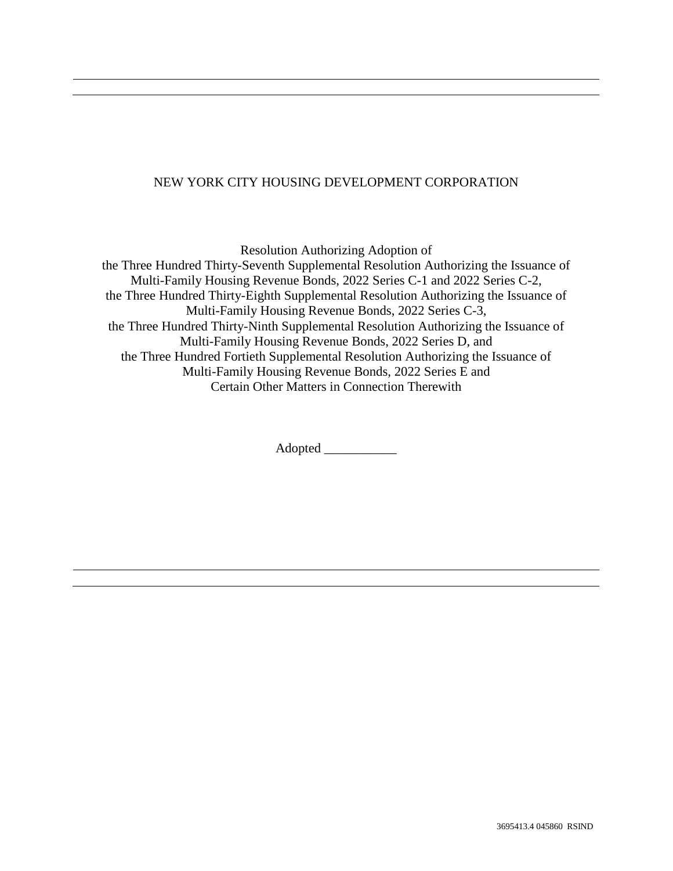## NEW YORK CITY HOUSING DEVELOPMENT CORPORATION

Resolution Authorizing Adoption of the Three Hundred Thirty-Seventh Supplemental Resolution Authorizing the Issuance of Multi-Family Housing Revenue Bonds, 2022 Series C-1 and 2022 Series C-2, the Three Hundred Thirty-Eighth Supplemental Resolution Authorizing the Issuance of Multi-Family Housing Revenue Bonds, 2022 Series C-3, the Three Hundred Thirty-Ninth Supplemental Resolution Authorizing the Issuance of Multi-Family Housing Revenue Bonds, 2022 Series D, and the Three Hundred Fortieth Supplemental Resolution Authorizing the Issuance of Multi-Family Housing Revenue Bonds, 2022 Series E and Certain Other Matters in Connection Therewith

Adopted \_\_\_\_\_\_\_\_\_\_\_\_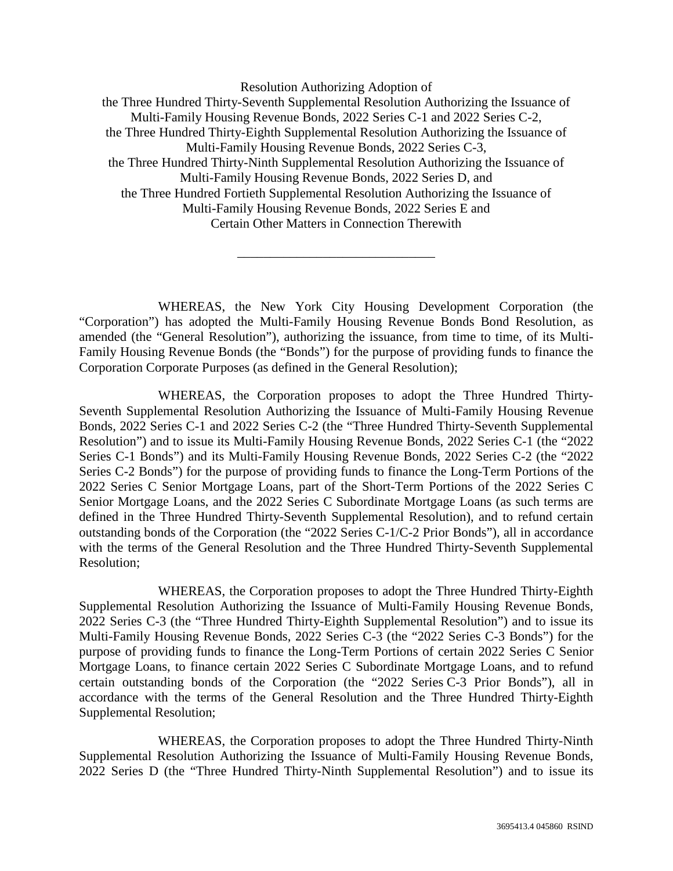Resolution Authorizing Adoption of the Three Hundred Thirty-Seventh Supplemental Resolution Authorizing the Issuance of Multi-Family Housing Revenue Bonds, 2022 Series C-1 and 2022 Series C-2, the Three Hundred Thirty-Eighth Supplemental Resolution Authorizing the Issuance of Multi-Family Housing Revenue Bonds, 2022 Series C-3, the Three Hundred Thirty-Ninth Supplemental Resolution Authorizing the Issuance of Multi-Family Housing Revenue Bonds, 2022 Series D, and the Three Hundred Fortieth Supplemental Resolution Authorizing the Issuance of Multi-Family Housing Revenue Bonds, 2022 Series E and Certain Other Matters in Connection Therewith

WHEREAS, the New York City Housing Development Corporation (the "Corporation") has adopted the Multi-Family Housing Revenue Bonds Bond Resolution, as amended (the "General Resolution"), authorizing the issuance, from time to time, of its Multi-Family Housing Revenue Bonds (the "Bonds") for the purpose of providing funds to finance the Corporation Corporate Purposes (as defined in the General Resolution);

\_\_\_\_\_\_\_\_\_\_\_\_\_\_\_\_\_\_\_\_\_\_\_\_\_\_\_\_\_\_

WHEREAS, the Corporation proposes to adopt the Three Hundred Thirty-Seventh Supplemental Resolution Authorizing the Issuance of Multi-Family Housing Revenue Bonds, 2022 Series C-1 and 2022 Series C-2 (the "Three Hundred Thirty-Seventh Supplemental Resolution") and to issue its Multi-Family Housing Revenue Bonds, 2022 Series C-1 (the "2022 Series C-1 Bonds") and its Multi-Family Housing Revenue Bonds, 2022 Series C-2 (the "2022 Series C-2 Bonds") for the purpose of providing funds to finance the Long-Term Portions of the 2022 Series C Senior Mortgage Loans, part of the Short-Term Portions of the 2022 Series C Senior Mortgage Loans, and the 2022 Series C Subordinate Mortgage Loans (as such terms are defined in the Three Hundred Thirty-Seventh Supplemental Resolution), and to refund certain outstanding bonds of the Corporation (the "2022 Series C-1/C-2 Prior Bonds"), all in accordance with the terms of the General Resolution and the Three Hundred Thirty-Seventh Supplemental Resolution;

WHEREAS, the Corporation proposes to adopt the Three Hundred Thirty-Eighth Supplemental Resolution Authorizing the Issuance of Multi-Family Housing Revenue Bonds, 2022 Series C-3 (the "Three Hundred Thirty-Eighth Supplemental Resolution") and to issue its Multi-Family Housing Revenue Bonds, 2022 Series C-3 (the "2022 Series C-3 Bonds") for the purpose of providing funds to finance the Long-Term Portions of certain 2022 Series C Senior Mortgage Loans, to finance certain 2022 Series C Subordinate Mortgage Loans, and to refund certain outstanding bonds of the Corporation (the "2022 Series C-3 Prior Bonds"), all in accordance with the terms of the General Resolution and the Three Hundred Thirty-Eighth Supplemental Resolution;

WHEREAS, the Corporation proposes to adopt the Three Hundred Thirty-Ninth Supplemental Resolution Authorizing the Issuance of Multi-Family Housing Revenue Bonds, 2022 Series D (the "Three Hundred Thirty-Ninth Supplemental Resolution") and to issue its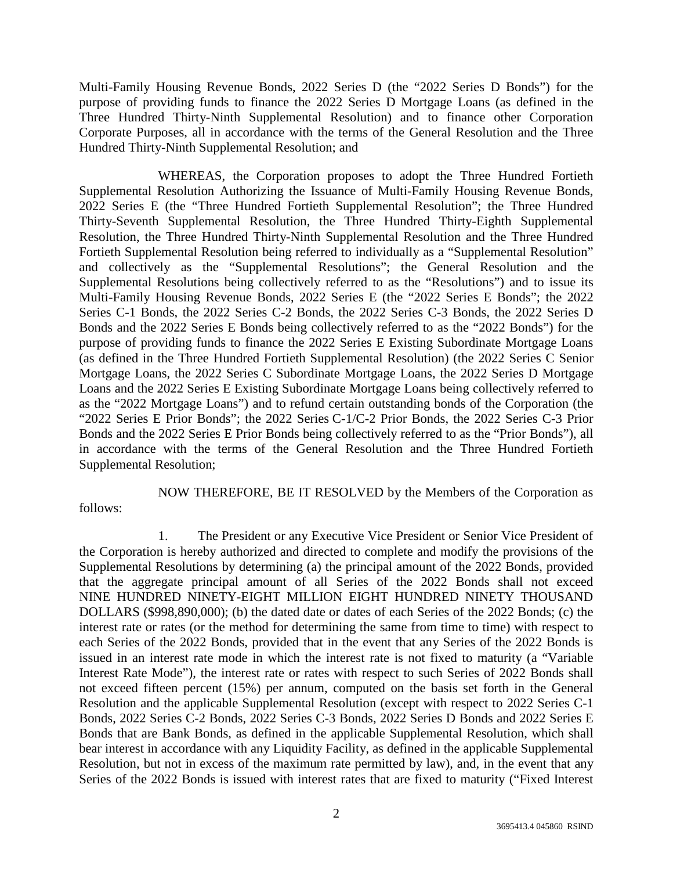Multi-Family Housing Revenue Bonds, 2022 Series D (the "2022 Series D Bonds") for the purpose of providing funds to finance the 2022 Series D Mortgage Loans (as defined in the Three Hundred Thirty-Ninth Supplemental Resolution) and to finance other Corporation Corporate Purposes, all in accordance with the terms of the General Resolution and the Three Hundred Thirty-Ninth Supplemental Resolution; and

WHEREAS, the Corporation proposes to adopt the Three Hundred Fortieth Supplemental Resolution Authorizing the Issuance of Multi-Family Housing Revenue Bonds, 2022 Series E (the "Three Hundred Fortieth Supplemental Resolution"; the Three Hundred Thirty-Seventh Supplemental Resolution, the Three Hundred Thirty-Eighth Supplemental Resolution, the Three Hundred Thirty-Ninth Supplemental Resolution and the Three Hundred Fortieth Supplemental Resolution being referred to individually as a "Supplemental Resolution" and collectively as the "Supplemental Resolutions"; the General Resolution and the Supplemental Resolutions being collectively referred to as the "Resolutions") and to issue its Multi-Family Housing Revenue Bonds, 2022 Series E (the "2022 Series E Bonds"; the 2022 Series C-1 Bonds, the 2022 Series C-2 Bonds, the 2022 Series C-3 Bonds, the 2022 Series D Bonds and the 2022 Series E Bonds being collectively referred to as the "2022 Bonds") for the purpose of providing funds to finance the 2022 Series E Existing Subordinate Mortgage Loans (as defined in the Three Hundred Fortieth Supplemental Resolution) (the 2022 Series C Senior Mortgage Loans, the 2022 Series C Subordinate Mortgage Loans, the 2022 Series D Mortgage Loans and the 2022 Series E Existing Subordinate Mortgage Loans being collectively referred to as the "2022 Mortgage Loans") and to refund certain outstanding bonds of the Corporation (the "2022 Series E Prior Bonds"; the 2022 Series C-1/C-2 Prior Bonds, the 2022 Series C-3 Prior Bonds and the 2022 Series E Prior Bonds being collectively referred to as the "Prior Bonds"), all in accordance with the terms of the General Resolution and the Three Hundred Fortieth Supplemental Resolution;

NOW THEREFORE, BE IT RESOLVED by the Members of the Corporation as follows:

1. The President or any Executive Vice President or Senior Vice President of the Corporation is hereby authorized and directed to complete and modify the provisions of the Supplemental Resolutions by determining (a) the principal amount of the 2022 Bonds, provided that the aggregate principal amount of all Series of the 2022 Bonds shall not exceed NINE HUNDRED NINETY-EIGHT MILLION EIGHT HUNDRED NINETY THOUSAND DOLLARS (\$998,890,000); (b) the dated date or dates of each Series of the 2022 Bonds; (c) the interest rate or rates (or the method for determining the same from time to time) with respect to each Series of the 2022 Bonds, provided that in the event that any Series of the 2022 Bonds is issued in an interest rate mode in which the interest rate is not fixed to maturity (a "Variable Interest Rate Mode"), the interest rate or rates with respect to such Series of 2022 Bonds shall not exceed fifteen percent (15%) per annum, computed on the basis set forth in the General Resolution and the applicable Supplemental Resolution (except with respect to 2022 Series C-1 Bonds, 2022 Series C-2 Bonds, 2022 Series C-3 Bonds, 2022 Series D Bonds and 2022 Series E Bonds that are Bank Bonds, as defined in the applicable Supplemental Resolution, which shall bear interest in accordance with any Liquidity Facility, as defined in the applicable Supplemental Resolution, but not in excess of the maximum rate permitted by law), and, in the event that any Series of the 2022 Bonds is issued with interest rates that are fixed to maturity ("Fixed Interest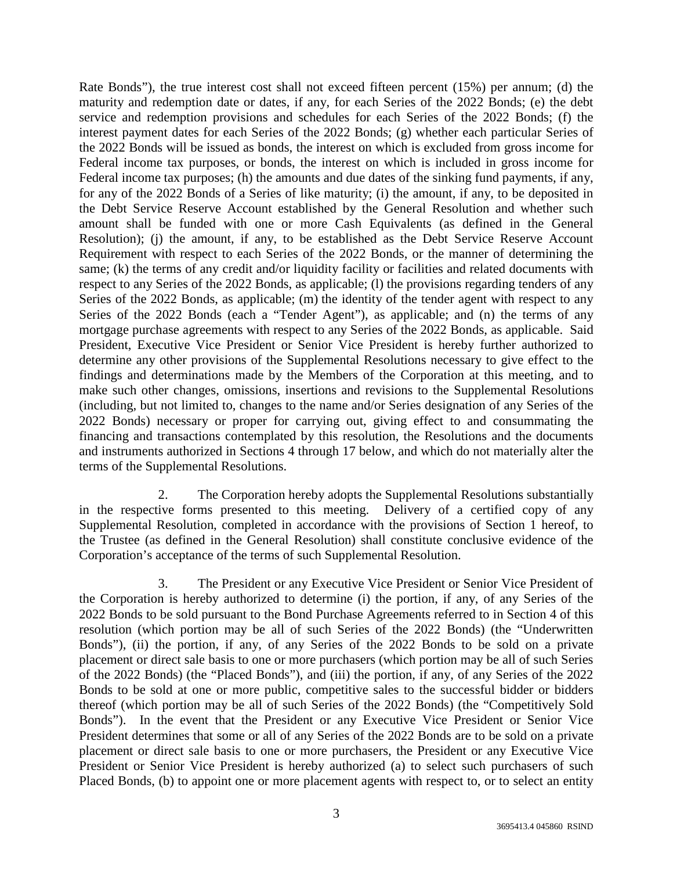Rate Bonds"), the true interest cost shall not exceed fifteen percent (15%) per annum; (d) the maturity and redemption date or dates, if any, for each Series of the 2022 Bonds; (e) the debt service and redemption provisions and schedules for each Series of the 2022 Bonds; (f) the interest payment dates for each Series of the 2022 Bonds; (g) whether each particular Series of the 2022 Bonds will be issued as bonds, the interest on which is excluded from gross income for Federal income tax purposes, or bonds, the interest on which is included in gross income for Federal income tax purposes; (h) the amounts and due dates of the sinking fund payments, if any, for any of the 2022 Bonds of a Series of like maturity; (i) the amount, if any, to be deposited in the Debt Service Reserve Account established by the General Resolution and whether such amount shall be funded with one or more Cash Equivalents (as defined in the General Resolution); (j) the amount, if any, to be established as the Debt Service Reserve Account Requirement with respect to each Series of the 2022 Bonds, or the manner of determining the same; (k) the terms of any credit and/or liquidity facility or facilities and related documents with respect to any Series of the 2022 Bonds, as applicable; (l) the provisions regarding tenders of any Series of the 2022 Bonds, as applicable; (m) the identity of the tender agent with respect to any Series of the 2022 Bonds (each a "Tender Agent"), as applicable; and (n) the terms of any mortgage purchase agreements with respect to any Series of the 2022 Bonds, as applicable. Said President, Executive Vice President or Senior Vice President is hereby further authorized to determine any other provisions of the Supplemental Resolutions necessary to give effect to the findings and determinations made by the Members of the Corporation at this meeting, and to make such other changes, omissions, insertions and revisions to the Supplemental Resolutions (including, but not limited to, changes to the name and/or Series designation of any Series of the 2022 Bonds) necessary or proper for carrying out, giving effect to and consummating the financing and transactions contemplated by this resolution, the Resolutions and the documents and instruments authorized in Sections 4 through 17 below, and which do not materially alter the terms of the Supplemental Resolutions.

2. The Corporation hereby adopts the Supplemental Resolutions substantially in the respective forms presented to this meeting. Delivery of a certified copy of any Supplemental Resolution, completed in accordance with the provisions of Section 1 hereof, to the Trustee (as defined in the General Resolution) shall constitute conclusive evidence of the Corporation's acceptance of the terms of such Supplemental Resolution.

3. The President or any Executive Vice President or Senior Vice President of the Corporation is hereby authorized to determine (i) the portion, if any, of any Series of the 2022 Bonds to be sold pursuant to the Bond Purchase Agreements referred to in Section 4 of this resolution (which portion may be all of such Series of the 2022 Bonds) (the "Underwritten Bonds"), (ii) the portion, if any, of any Series of the 2022 Bonds to be sold on a private placement or direct sale basis to one or more purchasers (which portion may be all of such Series of the 2022 Bonds) (the "Placed Bonds"), and (iii) the portion, if any, of any Series of the 2022 Bonds to be sold at one or more public, competitive sales to the successful bidder or bidders thereof (which portion may be all of such Series of the 2022 Bonds) (the "Competitively Sold Bonds"). In the event that the President or any Executive Vice President or Senior Vice President determines that some or all of any Series of the 2022 Bonds are to be sold on a private placement or direct sale basis to one or more purchasers, the President or any Executive Vice President or Senior Vice President is hereby authorized (a) to select such purchasers of such Placed Bonds, (b) to appoint one or more placement agents with respect to, or to select an entity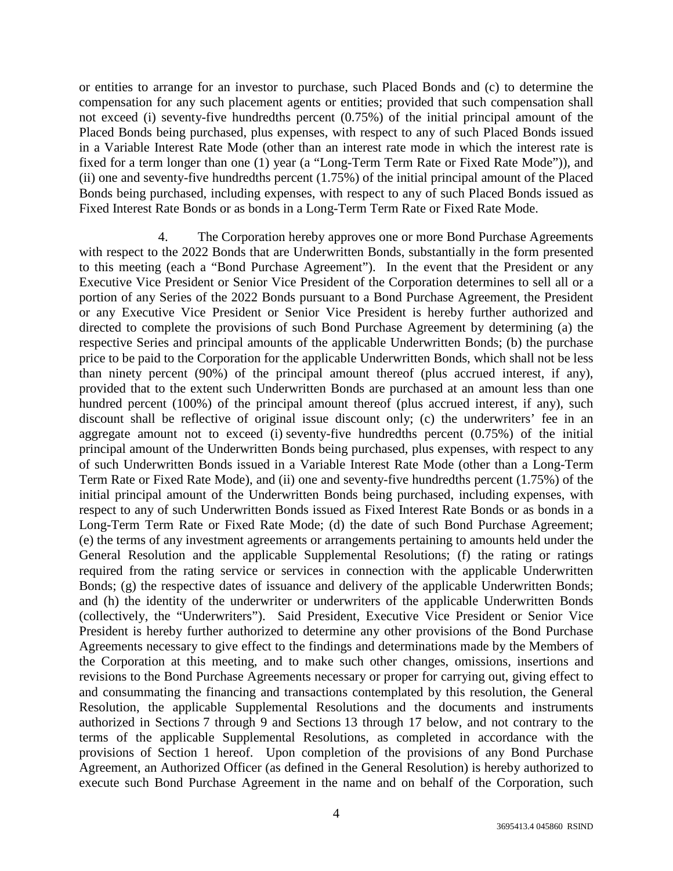or entities to arrange for an investor to purchase, such Placed Bonds and (c) to determine the compensation for any such placement agents or entities; provided that such compensation shall not exceed (i) seventy-five hundredths percent (0.75%) of the initial principal amount of the Placed Bonds being purchased, plus expenses, with respect to any of such Placed Bonds issued in a Variable Interest Rate Mode (other than an interest rate mode in which the interest rate is fixed for a term longer than one (1) year (a "Long-Term Term Rate or Fixed Rate Mode")), and (ii) one and seventy-five hundredths percent (1.75%) of the initial principal amount of the Placed Bonds being purchased, including expenses, with respect to any of such Placed Bonds issued as Fixed Interest Rate Bonds or as bonds in a Long-Term Term Rate or Fixed Rate Mode.

4. The Corporation hereby approves one or more Bond Purchase Agreements with respect to the 2022 Bonds that are Underwritten Bonds, substantially in the form presented to this meeting (each a "Bond Purchase Agreement"). In the event that the President or any Executive Vice President or Senior Vice President of the Corporation determines to sell all or a portion of any Series of the 2022 Bonds pursuant to a Bond Purchase Agreement, the President or any Executive Vice President or Senior Vice President is hereby further authorized and directed to complete the provisions of such Bond Purchase Agreement by determining (a) the respective Series and principal amounts of the applicable Underwritten Bonds; (b) the purchase price to be paid to the Corporation for the applicable Underwritten Bonds, which shall not be less than ninety percent (90%) of the principal amount thereof (plus accrued interest, if any), provided that to the extent such Underwritten Bonds are purchased at an amount less than one hundred percent (100%) of the principal amount thereof (plus accrued interest, if any), such discount shall be reflective of original issue discount only; (c) the underwriters' fee in an aggregate amount not to exceed (i) seventy-five hundredths percent (0.75%) of the initial principal amount of the Underwritten Bonds being purchased, plus expenses, with respect to any of such Underwritten Bonds issued in a Variable Interest Rate Mode (other than a Long-Term Term Rate or Fixed Rate Mode), and (ii) one and seventy-five hundredths percent (1.75%) of the initial principal amount of the Underwritten Bonds being purchased, including expenses, with respect to any of such Underwritten Bonds issued as Fixed Interest Rate Bonds or as bonds in a Long-Term Term Rate or Fixed Rate Mode; (d) the date of such Bond Purchase Agreement; (e) the terms of any investment agreements or arrangements pertaining to amounts held under the General Resolution and the applicable Supplemental Resolutions; (f) the rating or ratings required from the rating service or services in connection with the applicable Underwritten Bonds; (g) the respective dates of issuance and delivery of the applicable Underwritten Bonds; and (h) the identity of the underwriter or underwriters of the applicable Underwritten Bonds (collectively, the "Underwriters"). Said President, Executive Vice President or Senior Vice President is hereby further authorized to determine any other provisions of the Bond Purchase Agreements necessary to give effect to the findings and determinations made by the Members of the Corporation at this meeting, and to make such other changes, omissions, insertions and revisions to the Bond Purchase Agreements necessary or proper for carrying out, giving effect to and consummating the financing and transactions contemplated by this resolution, the General Resolution, the applicable Supplemental Resolutions and the documents and instruments authorized in Sections 7 through 9 and Sections 13 through 17 below, and not contrary to the terms of the applicable Supplemental Resolutions, as completed in accordance with the provisions of Section 1 hereof. Upon completion of the provisions of any Bond Purchase Agreement, an Authorized Officer (as defined in the General Resolution) is hereby authorized to execute such Bond Purchase Agreement in the name and on behalf of the Corporation, such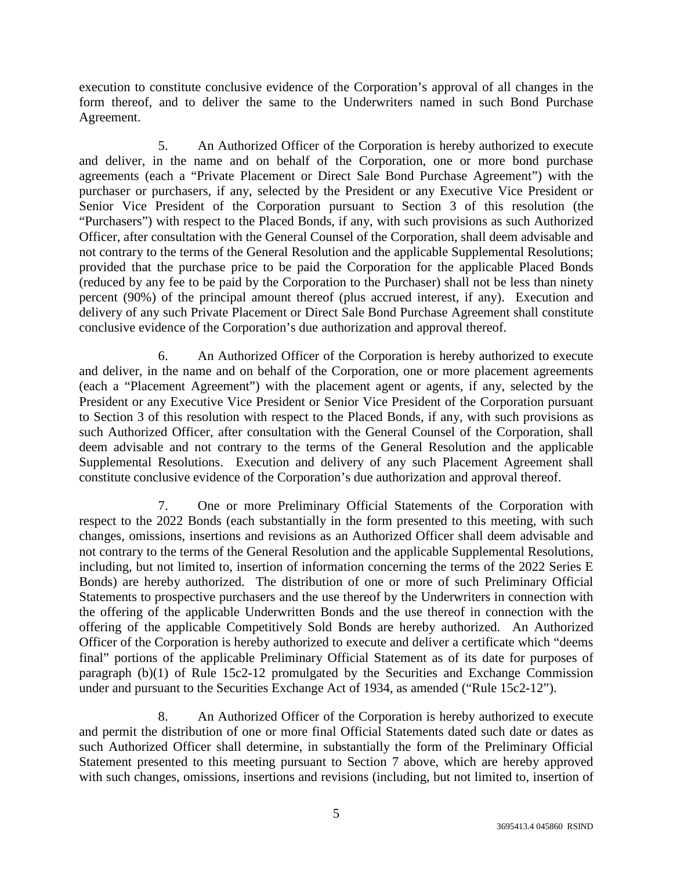execution to constitute conclusive evidence of the Corporation's approval of all changes in the form thereof, and to deliver the same to the Underwriters named in such Bond Purchase Agreement.

5. An Authorized Officer of the Corporation is hereby authorized to execute and deliver, in the name and on behalf of the Corporation, one or more bond purchase agreements (each a "Private Placement or Direct Sale Bond Purchase Agreement") with the purchaser or purchasers, if any, selected by the President or any Executive Vice President or Senior Vice President of the Corporation pursuant to Section 3 of this resolution (the "Purchasers") with respect to the Placed Bonds, if any, with such provisions as such Authorized Officer, after consultation with the General Counsel of the Corporation, shall deem advisable and not contrary to the terms of the General Resolution and the applicable Supplemental Resolutions; provided that the purchase price to be paid the Corporation for the applicable Placed Bonds (reduced by any fee to be paid by the Corporation to the Purchaser) shall not be less than ninety percent (90%) of the principal amount thereof (plus accrued interest, if any). Execution and delivery of any such Private Placement or Direct Sale Bond Purchase Agreement shall constitute conclusive evidence of the Corporation's due authorization and approval thereof.

6. An Authorized Officer of the Corporation is hereby authorized to execute and deliver, in the name and on behalf of the Corporation, one or more placement agreements (each a "Placement Agreement") with the placement agent or agents, if any, selected by the President or any Executive Vice President or Senior Vice President of the Corporation pursuant to Section 3 of this resolution with respect to the Placed Bonds, if any, with such provisions as such Authorized Officer, after consultation with the General Counsel of the Corporation, shall deem advisable and not contrary to the terms of the General Resolution and the applicable Supplemental Resolutions. Execution and delivery of any such Placement Agreement shall constitute conclusive evidence of the Corporation's due authorization and approval thereof.

7. One or more Preliminary Official Statements of the Corporation with respect to the 2022 Bonds (each substantially in the form presented to this meeting, with such changes, omissions, insertions and revisions as an Authorized Officer shall deem advisable and not contrary to the terms of the General Resolution and the applicable Supplemental Resolutions, including, but not limited to, insertion of information concerning the terms of the 2022 Series E Bonds) are hereby authorized. The distribution of one or more of such Preliminary Official Statements to prospective purchasers and the use thereof by the Underwriters in connection with the offering of the applicable Underwritten Bonds and the use thereof in connection with the offering of the applicable Competitively Sold Bonds are hereby authorized. An Authorized Officer of the Corporation is hereby authorized to execute and deliver a certificate which "deems final" portions of the applicable Preliminary Official Statement as of its date for purposes of paragraph (b)(1) of Rule 15c2-12 promulgated by the Securities and Exchange Commission under and pursuant to the Securities Exchange Act of 1934, as amended ("Rule 15c2-12").

8. An Authorized Officer of the Corporation is hereby authorized to execute and permit the distribution of one or more final Official Statements dated such date or dates as such Authorized Officer shall determine, in substantially the form of the Preliminary Official Statement presented to this meeting pursuant to Section 7 above, which are hereby approved with such changes, omissions, insertions and revisions (including, but not limited to, insertion of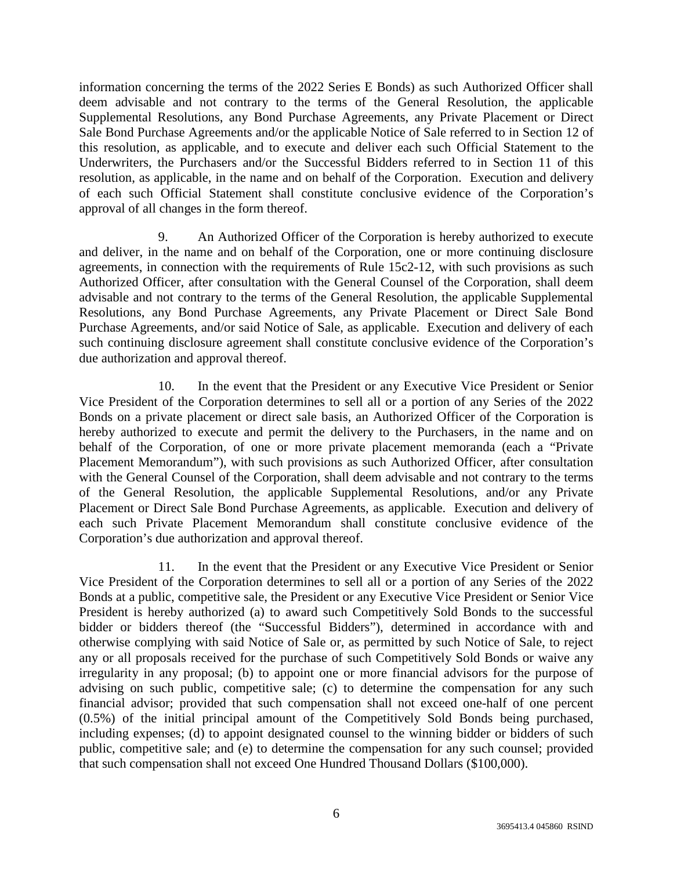information concerning the terms of the 2022 Series E Bonds) as such Authorized Officer shall deem advisable and not contrary to the terms of the General Resolution, the applicable Supplemental Resolutions, any Bond Purchase Agreements, any Private Placement or Direct Sale Bond Purchase Agreements and/or the applicable Notice of Sale referred to in Section 12 of this resolution, as applicable, and to execute and deliver each such Official Statement to the Underwriters, the Purchasers and/or the Successful Bidders referred to in Section 11 of this resolution, as applicable, in the name and on behalf of the Corporation. Execution and delivery of each such Official Statement shall constitute conclusive evidence of the Corporation's approval of all changes in the form thereof.

9. An Authorized Officer of the Corporation is hereby authorized to execute and deliver, in the name and on behalf of the Corporation, one or more continuing disclosure agreements, in connection with the requirements of Rule 15c2-12, with such provisions as such Authorized Officer, after consultation with the General Counsel of the Corporation, shall deem advisable and not contrary to the terms of the General Resolution, the applicable Supplemental Resolutions, any Bond Purchase Agreements, any Private Placement or Direct Sale Bond Purchase Agreements, and/or said Notice of Sale, as applicable. Execution and delivery of each such continuing disclosure agreement shall constitute conclusive evidence of the Corporation's due authorization and approval thereof.

10. In the event that the President or any Executive Vice President or Senior Vice President of the Corporation determines to sell all or a portion of any Series of the 2022 Bonds on a private placement or direct sale basis, an Authorized Officer of the Corporation is hereby authorized to execute and permit the delivery to the Purchasers, in the name and on behalf of the Corporation, of one or more private placement memoranda (each a "Private Placement Memorandum"), with such provisions as such Authorized Officer, after consultation with the General Counsel of the Corporation, shall deem advisable and not contrary to the terms of the General Resolution, the applicable Supplemental Resolutions, and/or any Private Placement or Direct Sale Bond Purchase Agreements, as applicable. Execution and delivery of each such Private Placement Memorandum shall constitute conclusive evidence of the Corporation's due authorization and approval thereof.

11. In the event that the President or any Executive Vice President or Senior Vice President of the Corporation determines to sell all or a portion of any Series of the 2022 Bonds at a public, competitive sale, the President or any Executive Vice President or Senior Vice President is hereby authorized (a) to award such Competitively Sold Bonds to the successful bidder or bidders thereof (the "Successful Bidders"), determined in accordance with and otherwise complying with said Notice of Sale or, as permitted by such Notice of Sale, to reject any or all proposals received for the purchase of such Competitively Sold Bonds or waive any irregularity in any proposal; (b) to appoint one or more financial advisors for the purpose of advising on such public, competitive sale; (c) to determine the compensation for any such financial advisor; provided that such compensation shall not exceed one-half of one percent (0.5%) of the initial principal amount of the Competitively Sold Bonds being purchased, including expenses; (d) to appoint designated counsel to the winning bidder or bidders of such public, competitive sale; and (e) to determine the compensation for any such counsel; provided that such compensation shall not exceed One Hundred Thousand Dollars (\$100,000).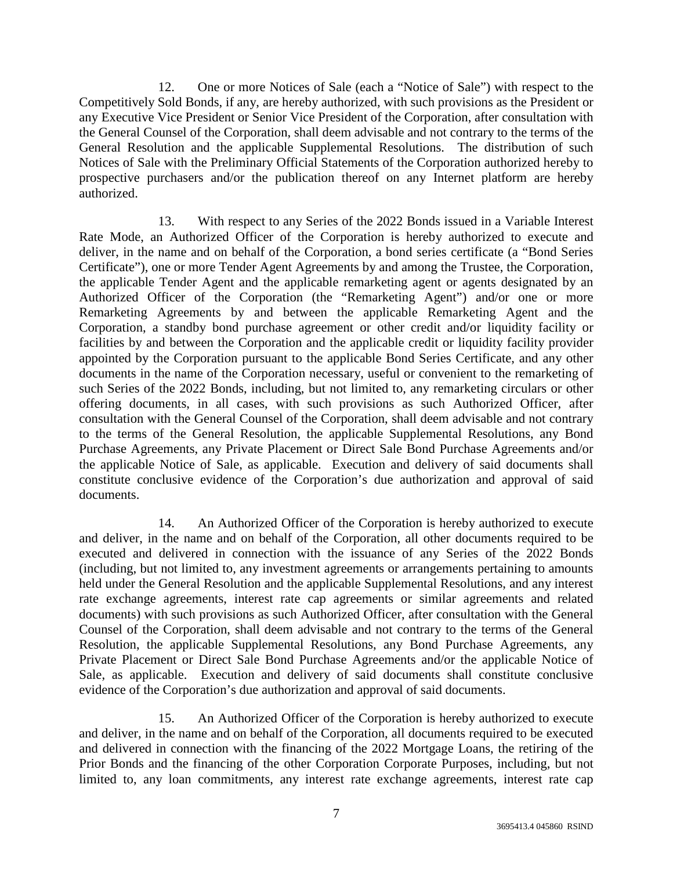12. One or more Notices of Sale (each a "Notice of Sale") with respect to the Competitively Sold Bonds, if any, are hereby authorized, with such provisions as the President or any Executive Vice President or Senior Vice President of the Corporation, after consultation with the General Counsel of the Corporation, shall deem advisable and not contrary to the terms of the General Resolution and the applicable Supplemental Resolutions. The distribution of such Notices of Sale with the Preliminary Official Statements of the Corporation authorized hereby to prospective purchasers and/or the publication thereof on any Internet platform are hereby authorized.

13. With respect to any Series of the 2022 Bonds issued in a Variable Interest Rate Mode, an Authorized Officer of the Corporation is hereby authorized to execute and deliver, in the name and on behalf of the Corporation, a bond series certificate (a "Bond Series Certificate"), one or more Tender Agent Agreements by and among the Trustee, the Corporation, the applicable Tender Agent and the applicable remarketing agent or agents designated by an Authorized Officer of the Corporation (the "Remarketing Agent") and/or one or more Remarketing Agreements by and between the applicable Remarketing Agent and the Corporation, a standby bond purchase agreement or other credit and/or liquidity facility or facilities by and between the Corporation and the applicable credit or liquidity facility provider appointed by the Corporation pursuant to the applicable Bond Series Certificate, and any other documents in the name of the Corporation necessary, useful or convenient to the remarketing of such Series of the 2022 Bonds, including, but not limited to, any remarketing circulars or other offering documents, in all cases, with such provisions as such Authorized Officer, after consultation with the General Counsel of the Corporation, shall deem advisable and not contrary to the terms of the General Resolution, the applicable Supplemental Resolutions, any Bond Purchase Agreements, any Private Placement or Direct Sale Bond Purchase Agreements and/or the applicable Notice of Sale, as applicable. Execution and delivery of said documents shall constitute conclusive evidence of the Corporation's due authorization and approval of said documents.

14. An Authorized Officer of the Corporation is hereby authorized to execute and deliver, in the name and on behalf of the Corporation, all other documents required to be executed and delivered in connection with the issuance of any Series of the 2022 Bonds (including, but not limited to, any investment agreements or arrangements pertaining to amounts held under the General Resolution and the applicable Supplemental Resolutions, and any interest rate exchange agreements, interest rate cap agreements or similar agreements and related documents) with such provisions as such Authorized Officer, after consultation with the General Counsel of the Corporation, shall deem advisable and not contrary to the terms of the General Resolution, the applicable Supplemental Resolutions, any Bond Purchase Agreements, any Private Placement or Direct Sale Bond Purchase Agreements and/or the applicable Notice of Sale, as applicable. Execution and delivery of said documents shall constitute conclusive evidence of the Corporation's due authorization and approval of said documents.

15. An Authorized Officer of the Corporation is hereby authorized to execute and deliver, in the name and on behalf of the Corporation, all documents required to be executed and delivered in connection with the financing of the 2022 Mortgage Loans, the retiring of the Prior Bonds and the financing of the other Corporation Corporate Purposes, including, but not limited to, any loan commitments, any interest rate exchange agreements, interest rate cap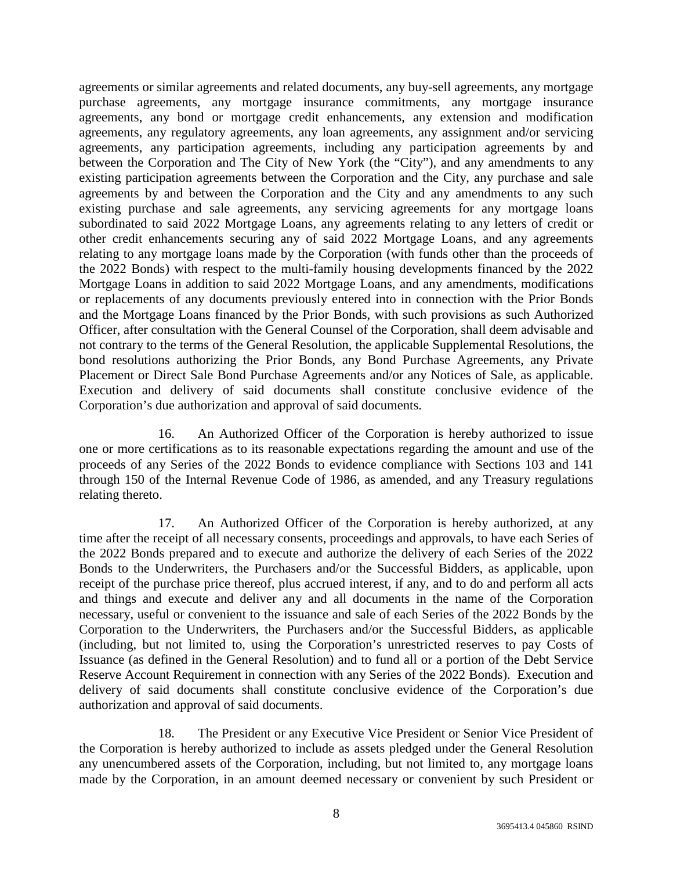agreements or similar agreements and related documents, any buy-sell agreements, any mortgage purchase agreements, any mortgage insurance commitments, any mortgage insurance agreements, any bond or mortgage credit enhancements, any extension and modification agreements, any regulatory agreements, any loan agreements, any assignment and/or servicing agreements, any participation agreements, including any participation agreements by and between the Corporation and The City of New York (the "City"), and any amendments to any existing participation agreements between the Corporation and the City, any purchase and sale agreements by and between the Corporation and the City and any amendments to any such existing purchase and sale agreements, any servicing agreements for any mortgage loans subordinated to said 2022 Mortgage Loans, any agreements relating to any letters of credit or other credit enhancements securing any of said 2022 Mortgage Loans, and any agreements relating to any mortgage loans made by the Corporation (with funds other than the proceeds of the 2022 Bonds) with respect to the multi-family housing developments financed by the 2022 Mortgage Loans in addition to said 2022 Mortgage Loans, and any amendments, modifications or replacements of any documents previously entered into in connection with the Prior Bonds and the Mortgage Loans financed by the Prior Bonds, with such provisions as such Authorized Officer, after consultation with the General Counsel of the Corporation, shall deem advisable and not contrary to the terms of the General Resolution, the applicable Supplemental Resolutions, the bond resolutions authorizing the Prior Bonds, any Bond Purchase Agreements, any Private Placement or Direct Sale Bond Purchase Agreements and/or any Notices of Sale, as applicable. Execution and delivery of said documents shall constitute conclusive evidence of the Corporation's due authorization and approval of said documents.

16. An Authorized Officer of the Corporation is hereby authorized to issue one or more certifications as to its reasonable expectations regarding the amount and use of the proceeds of any Series of the 2022 Bonds to evidence compliance with Sections 103 and 141 through 150 of the Internal Revenue Code of 1986, as amended, and any Treasury regulations relating thereto.

17. An Authorized Officer of the Corporation is hereby authorized, at any time after the receipt of all necessary consents, proceedings and approvals, to have each Series of the 2022 Bonds prepared and to execute and authorize the delivery of each Series of the 2022 Bonds to the Underwriters, the Purchasers and/or the Successful Bidders, as applicable, upon receipt of the purchase price thereof, plus accrued interest, if any, and to do and perform all acts and things and execute and deliver any and all documents in the name of the Corporation necessary, useful or convenient to the issuance and sale of each Series of the 2022 Bonds by the Corporation to the Underwriters, the Purchasers and/or the Successful Bidders, as applicable (including, but not limited to, using the Corporation's unrestricted reserves to pay Costs of Issuance (as defined in the General Resolution) and to fund all or a portion of the Debt Service Reserve Account Requirement in connection with any Series of the 2022 Bonds). Execution and delivery of said documents shall constitute conclusive evidence of the Corporation's due authorization and approval of said documents.

18. The President or any Executive Vice President or Senior Vice President of the Corporation is hereby authorized to include as assets pledged under the General Resolution any unencumbered assets of the Corporation, including, but not limited to, any mortgage loans made by the Corporation, in an amount deemed necessary or convenient by such President or